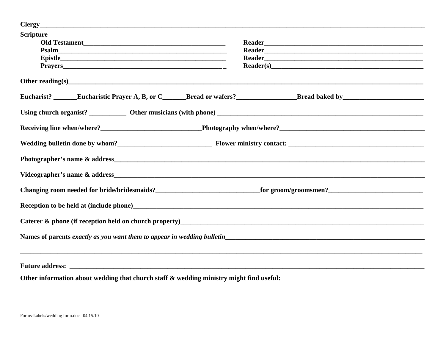| <b>Scripture</b>                                                                                                                                                                                                               |                                                                                                                 |  |  |
|--------------------------------------------------------------------------------------------------------------------------------------------------------------------------------------------------------------------------------|-----------------------------------------------------------------------------------------------------------------|--|--|
|                                                                                                                                                                                                                                |                                                                                                                 |  |  |
|                                                                                                                                                                                                                                | Reader Manual Communication of the Communication of the Communication of the Communication of the Communication |  |  |
|                                                                                                                                                                                                                                |                                                                                                                 |  |  |
| Other reading(s) expression and the contract of the contract of the contract of the contract of the contract of the contract of the contract of the contract of the contract of the contract of the contract of the contract o |                                                                                                                 |  |  |
|                                                                                                                                                                                                                                |                                                                                                                 |  |  |
|                                                                                                                                                                                                                                |                                                                                                                 |  |  |
| Receiving line when/where?<br><b>Example 2020</b> Photography when/where?<br>Photography when/where?                                                                                                                           |                                                                                                                 |  |  |
|                                                                                                                                                                                                                                |                                                                                                                 |  |  |
|                                                                                                                                                                                                                                |                                                                                                                 |  |  |
|                                                                                                                                                                                                                                |                                                                                                                 |  |  |
|                                                                                                                                                                                                                                |                                                                                                                 |  |  |
|                                                                                                                                                                                                                                |                                                                                                                 |  |  |
|                                                                                                                                                                                                                                |                                                                                                                 |  |  |
| Names of parents exactly as you want them to appear in wedding bulletin                                                                                                                                                        |                                                                                                                 |  |  |
|                                                                                                                                                                                                                                |                                                                                                                 |  |  |
|                                                                                                                                                                                                                                |                                                                                                                 |  |  |
| de la constitución de la constitución de la constitución de la constitución de la constitución de la constituc                                                                                                                 |                                                                                                                 |  |  |

Other information about wedding that church staff & wedding ministry might find useful: